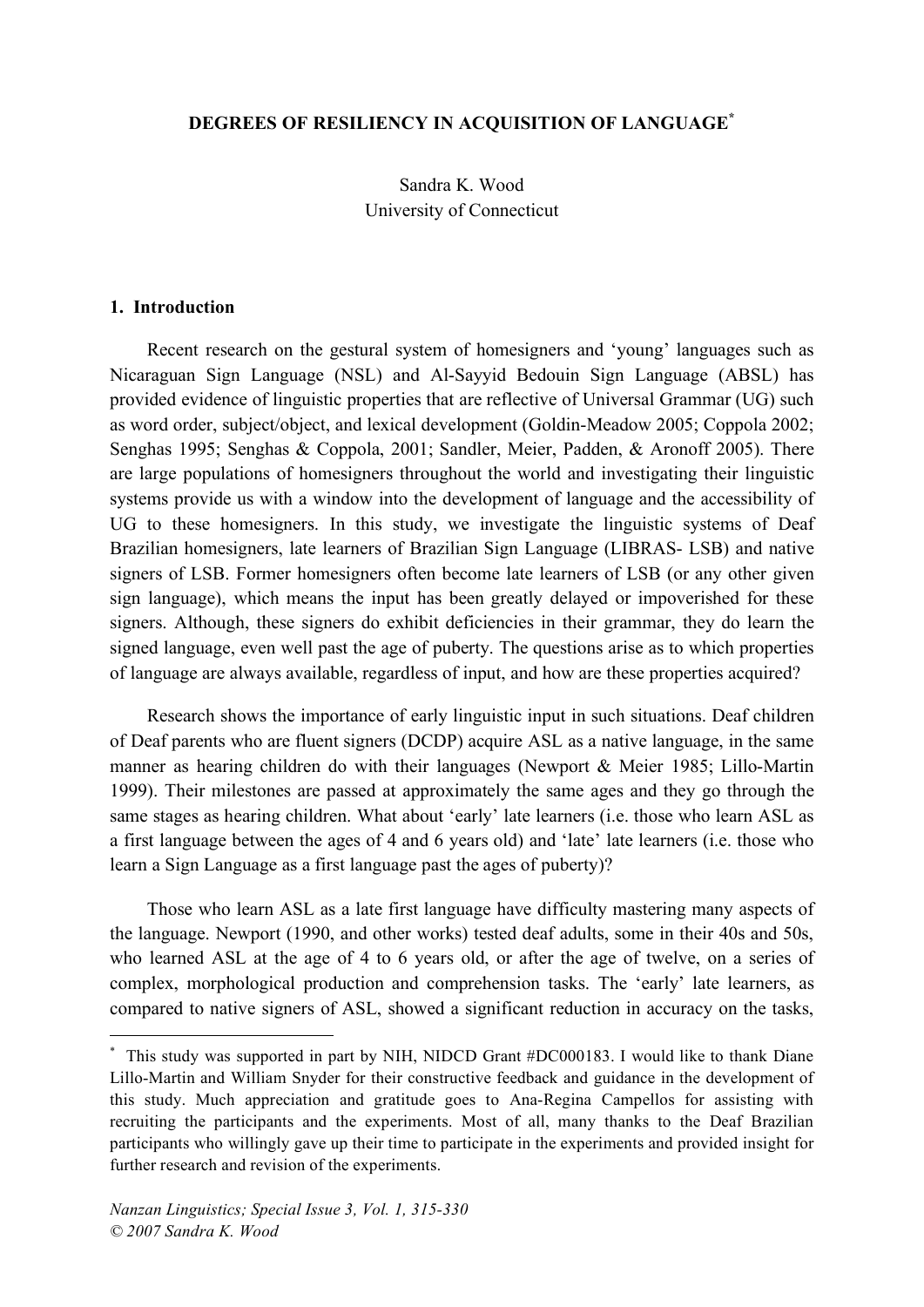### **DEGREES OF RESILIENCY IN ACQUISITION OF LANGUAGE\***

Sandra K. Wood University of Connecticut

#### **1. Introduction**

Recent research on the gestural system of homesigners and 'young' languages such as Nicaraguan Sign Language (NSL) and Al-Sayyid Bedouin Sign Language (ABSL) has provided evidence of linguistic properties that are reflective of Universal Grammar (UG) such as word order, subject/object, and lexical development (Goldin-Meadow 2005; Coppola 2002; Senghas 1995; Senghas & Coppola, 2001; Sandler, Meier, Padden, & Aronoff 2005). There are large populations of homesigners throughout the world and investigating their linguistic systems provide us with a window into the development of language and the accessibility of UG to these homesigners. In this study, we investigate the linguistic systems of Deaf Brazilian homesigners, late learners of Brazilian Sign Language (LIBRAS- LSB) and native signers of LSB. Former homesigners often become late learners of LSB (or any other given sign language), which means the input has been greatly delayed or impoverished for these signers. Although, these signers do exhibit deficiencies in their grammar, they do learn the signed language, even well past the age of puberty. The questions arise as to which properties of language are always available, regardless of input, and how are these properties acquired?

Research shows the importance of early linguistic input in such situations. Deaf children of Deaf parents who are fluent signers (DCDP) acquire ASL as a native language, in the same manner as hearing children do with their languages (Newport & Meier 1985; Lillo-Martin 1999). Their milestones are passed at approximately the same ages and they go through the same stages as hearing children. What about 'early' late learners (i.e. those who learn ASL as a first language between the ages of 4 and 6 years old) and 'late' late learners (i.e. those who learn a Sign Language as a first language past the ages of puberty)?

Those who learn ASL as a late first language have difficulty mastering many aspects of the language. Newport (1990, and other works) tested deaf adults, some in their 40s and 50s, who learned ASL at the age of 4 to 6 years old, or after the age of twelve, on a series of complex, morphological production and comprehension tasks. The 'early' late learners, as compared to native signers of ASL, showed a significant reduction in accuracy on the tasks,

This study was supported in part by NIH, NIDCD Grant #DC000183. I would like to thank Diane Lillo-Martin and William Snyder for their constructive feedback and guidance in the development of this study. Much appreciation and gratitude goes to Ana-Regina Campellos for assisting with recruiting the participants and the experiments. Most of all, many thanks to the Deaf Brazilian participants who willingly gave up their time to participate in the experiments and provided insight for further research and revision of the experiments.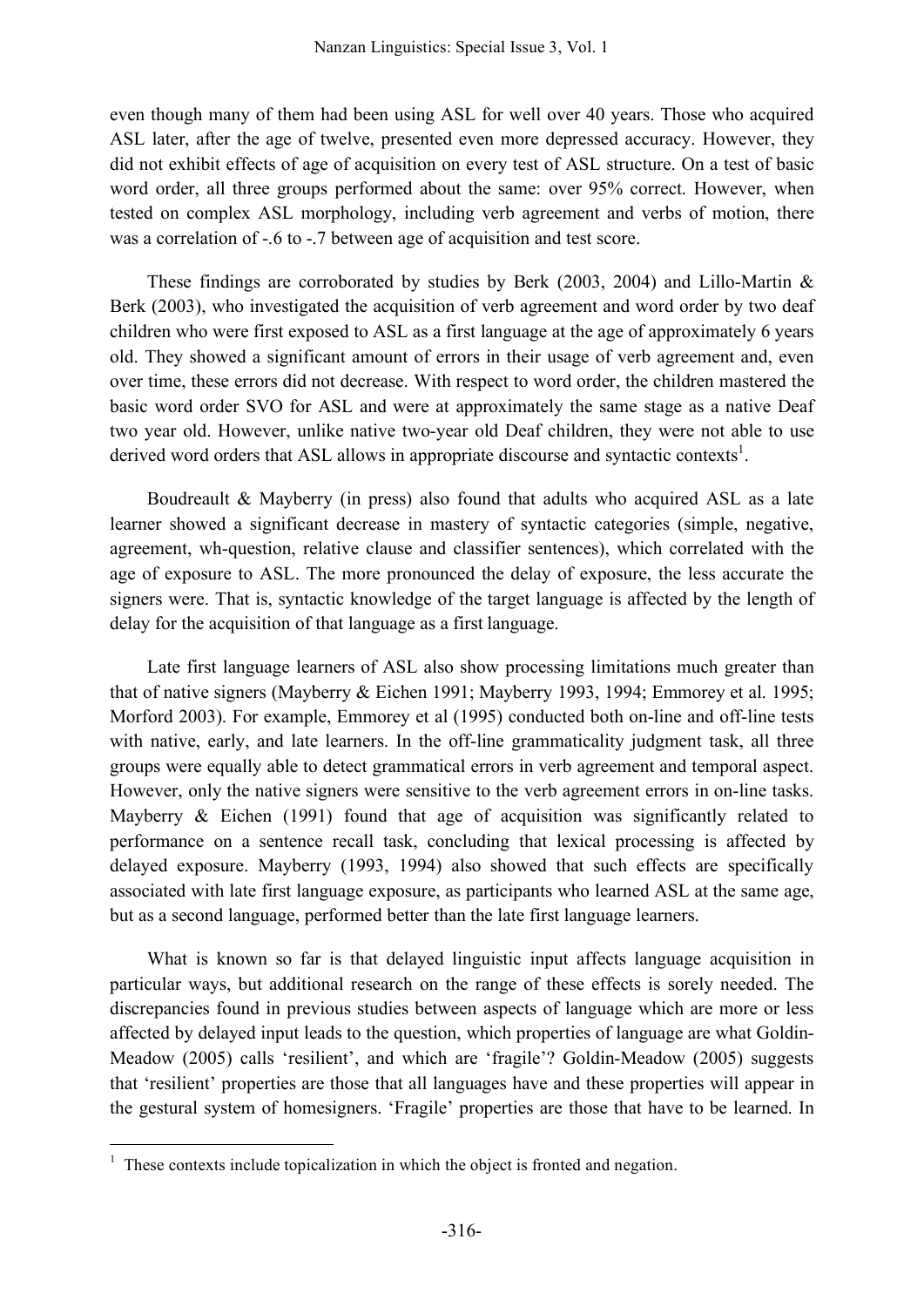even though many of them had been using ASL for well over 40 years. Those who acquired ASL later, after the age of twelve, presented even more depressed accuracy. However, they did not exhibit effects of age of acquisition on every test of ASL structure. On a test of basic word order, all three groups performed about the same: over 95% correct. However, when tested on complex ASL morphology, including verb agreement and verbs of motion, there was a correlation of -.6 to -.7 between age of acquisition and test score.

These findings are corroborated by studies by Berk (2003, 2004) and Lillo-Martin  $\&$ Berk (2003), who investigated the acquisition of verb agreement and word order by two deaf children who were first exposed to ASL as a first language at the age of approximately 6 years old. They showed a significant amount of errors in their usage of verb agreement and, even over time, these errors did not decrease. With respect to word order, the children mastered the basic word order SVO for ASL and were at approximately the same stage as a native Deaf two year old. However, unlike native two-year old Deaf children, they were not able to use derived word orders that ASL allows in appropriate discourse and syntactic contexts<sup>1</sup>.

Boudreault & Mayberry (in press) also found that adults who acquired ASL as a late learner showed a significant decrease in mastery of syntactic categories (simple, negative, agreement, wh-question, relative clause and classifier sentences), which correlated with the age of exposure to ASL. The more pronounced the delay of exposure, the less accurate the signers were. That is, syntactic knowledge of the target language is affected by the length of delay for the acquisition of that language as a first language.

Late first language learners of ASL also show processing limitations much greater than that of native signers (Mayberry & Eichen 1991; Mayberry 1993, 1994; Emmorey et al. 1995; Morford 2003). For example, Emmorey et al (1995) conducted both on-line and off-line tests with native, early, and late learners. In the off-line grammaticality judgment task, all three groups were equally able to detect grammatical errors in verb agreement and temporal aspect. However, only the native signers were sensitive to the verb agreement errors in on-line tasks. Mayberry & Eichen (1991) found that age of acquisition was significantly related to performance on a sentence recall task, concluding that lexical processing is affected by delayed exposure. Mayberry (1993, 1994) also showed that such effects are specifically associated with late first language exposure, as participants who learned ASL at the same age, but as a second language, performed better than the late first language learners.

What is known so far is that delayed linguistic input affects language acquisition in particular ways, but additional research on the range of these effects is sorely needed. The discrepancies found in previous studies between aspects of language which are more or less affected by delayed input leads to the question, which properties of language are what Goldin-Meadow (2005) calls 'resilient', and which are 'fragile'? Goldin-Meadow (2005) suggests that 'resilient' properties are those that all languages have and these properties will appear in the gestural system of homesigners. 'Fragile' properties are those that have to be learned. In

 $1$  These contexts include topicalization in which the object is fronted and negation.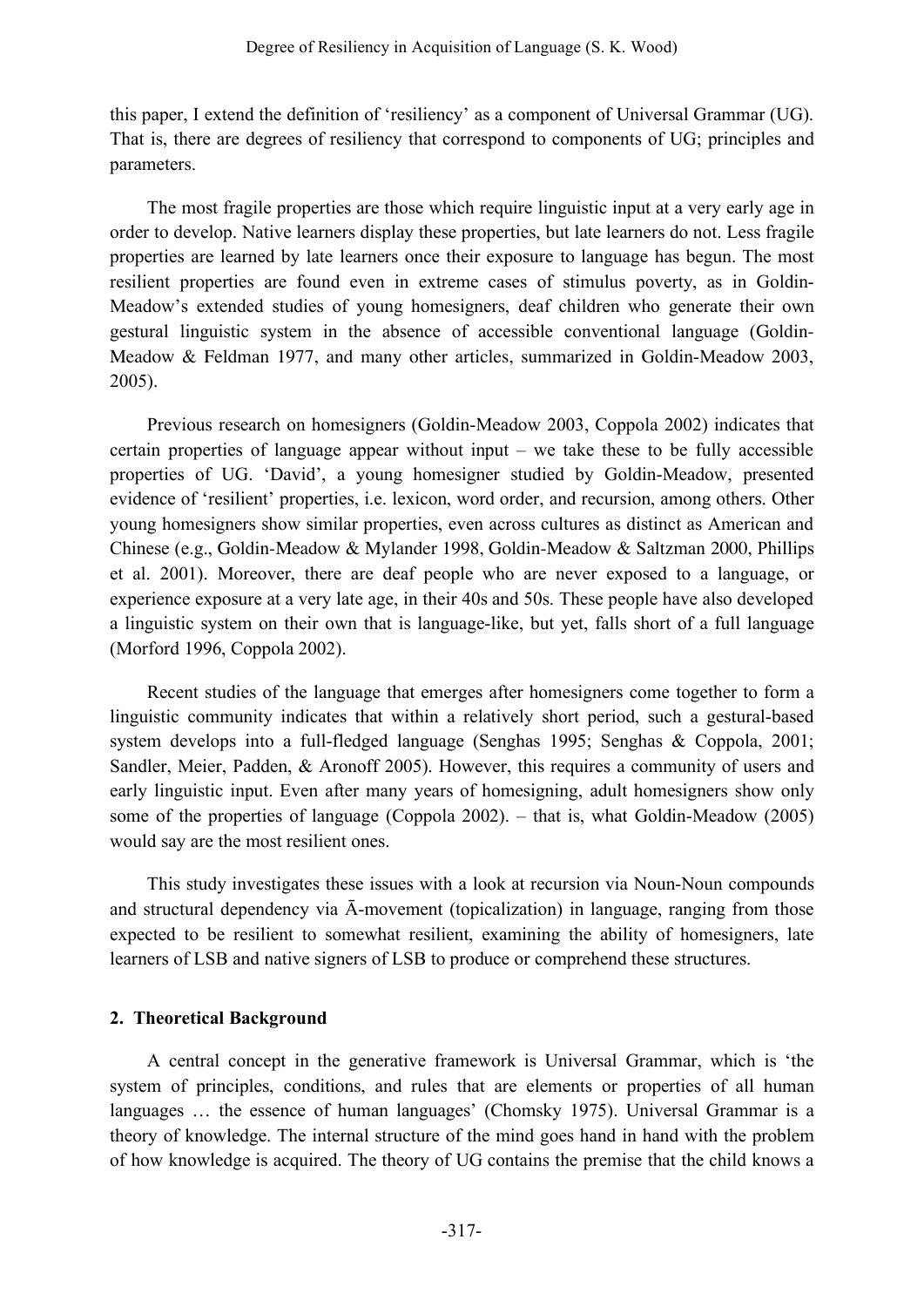this paper, I extend the definition of 'resiliency' as a component of Universal Grammar (UG). That is, there are degrees of resiliency that correspond to components of UG; principles and parameters.

The most fragile properties are those which require linguistic input at a very early age in order to develop. Native learners display these properties, but late learners do not. Less fragile properties are learned by late learners once their exposure to language has begun. The most resilient properties are found even in extreme cases of stimulus poverty, as in Goldin-Meadow's extended studies of young homesigners, deaf children who generate their own gestural linguistic system in the absence of accessible conventional language (Goldin-Meadow & Feldman 1977, and many other articles, summarized in Goldin-Meadow 2003, 2005).

Previous research on homesigners (Goldin-Meadow 2003, Coppola 2002) indicates that certain properties of language appear without input – we take these to be fully accessible properties of UG. 'David', a young homesigner studied by Goldin-Meadow, presented evidence of 'resilient' properties, i.e. lexicon, word order, and recursion, among others. Other young homesigners show similar properties, even across cultures as distinct as American and Chinese (e.g., Goldin-Meadow & Mylander 1998, Goldin-Meadow & Saltzman 2000, Phillips et al. 2001). Moreover, there are deaf people who are never exposed to a language, or experience exposure at a very late age, in their 40s and 50s. These people have also developed a linguistic system on their own that is language-like, but yet, falls short of a full language (Morford 1996, Coppola 2002).

Recent studies of the language that emerges after homesigners come together to form a linguistic community indicates that within a relatively short period, such a gestural-based system develops into a full-fledged language (Senghas 1995; Senghas & Coppola, 2001; Sandler, Meier, Padden, & Aronoff 2005). However, this requires a community of users and early linguistic input. Even after many years of homesigning, adult homesigners show only some of the properties of language (Coppola 2002). – that is, what Goldin-Meadow (2005) would say are the most resilient ones.

This study investigates these issues with a look at recursion via Noun-Noun compounds and structural dependency via Ā-movement (topicalization) in language, ranging from those expected to be resilient to somewhat resilient, examining the ability of homesigners, late learners of LSB and native signers of LSB to produce or comprehend these structures.

## **2. Theoretical Background**

A central concept in the generative framework is Universal Grammar, which is 'the system of principles, conditions, and rules that are elements or properties of all human languages … the essence of human languages' (Chomsky 1975). Universal Grammar is a theory of knowledge. The internal structure of the mind goes hand in hand with the problem of how knowledge is acquired. The theory of UG contains the premise that the child knows a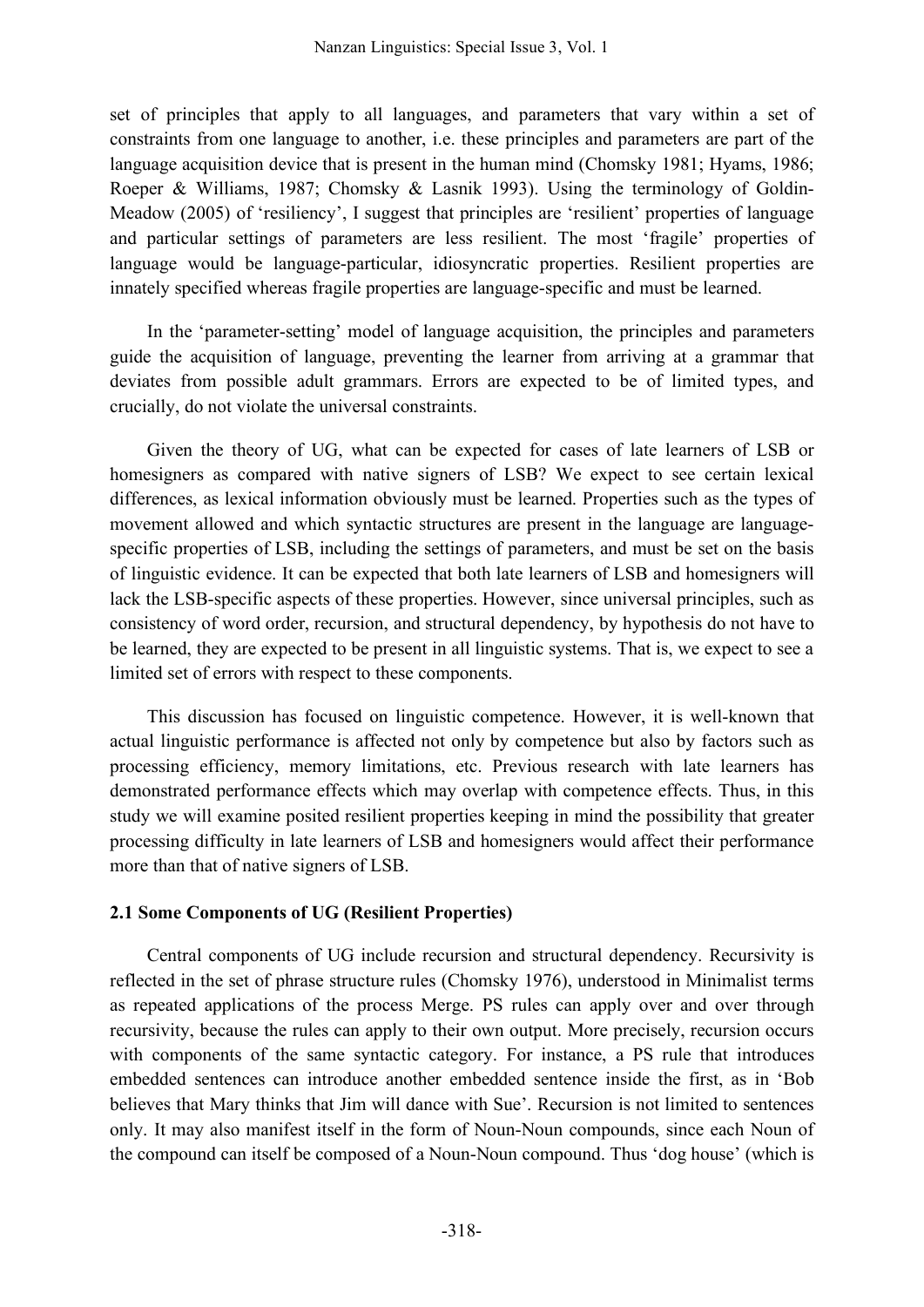set of principles that apply to all languages, and parameters that vary within a set of constraints from one language to another, i.e. these principles and parameters are part of the language acquisition device that is present in the human mind (Chomsky 1981; Hyams, 1986; Roeper & Williams, 1987; Chomsky & Lasnik 1993). Using the terminology of Goldin-Meadow (2005) of 'resiliency', I suggest that principles are 'resilient' properties of language and particular settings of parameters are less resilient. The most 'fragile' properties of language would be language-particular, idiosyncratic properties. Resilient properties are innately specified whereas fragile properties are language-specific and must be learned.

In the 'parameter-setting' model of language acquisition, the principles and parameters guide the acquisition of language, preventing the learner from arriving at a grammar that deviates from possible adult grammars. Errors are expected to be of limited types, and crucially, do not violate the universal constraints.

Given the theory of UG, what can be expected for cases of late learners of LSB or homesigners as compared with native signers of LSB? We expect to see certain lexical differences, as lexical information obviously must be learned. Properties such as the types of movement allowed and which syntactic structures are present in the language are languagespecific properties of LSB, including the settings of parameters, and must be set on the basis of linguistic evidence. It can be expected that both late learners of LSB and homesigners will lack the LSB-specific aspects of these properties. However, since universal principles, such as consistency of word order, recursion, and structural dependency, by hypothesis do not have to be learned, they are expected to be present in all linguistic systems. That is, we expect to see a limited set of errors with respect to these components.

This discussion has focused on linguistic competence. However, it is well-known that actual linguistic performance is affected not only by competence but also by factors such as processing efficiency, memory limitations, etc. Previous research with late learners has demonstrated performance effects which may overlap with competence effects. Thus, in this study we will examine posited resilient properties keeping in mind the possibility that greater processing difficulty in late learners of LSB and homesigners would affect their performance more than that of native signers of LSB.

### **2.1 Some Components of UG (Resilient Properties)**

Central components of UG include recursion and structural dependency. Recursivity is reflected in the set of phrase structure rules (Chomsky 1976), understood in Minimalist terms as repeated applications of the process Merge. PS rules can apply over and over through recursivity, because the rules can apply to their own output. More precisely, recursion occurs with components of the same syntactic category. For instance, a PS rule that introduces embedded sentences can introduce another embedded sentence inside the first, as in 'Bob believes that Mary thinks that Jim will dance with Sue'. Recursion is not limited to sentences only. It may also manifest itself in the form of Noun-Noun compounds, since each Noun of the compound can itself be composed of a Noun-Noun compound. Thus 'dog house' (which is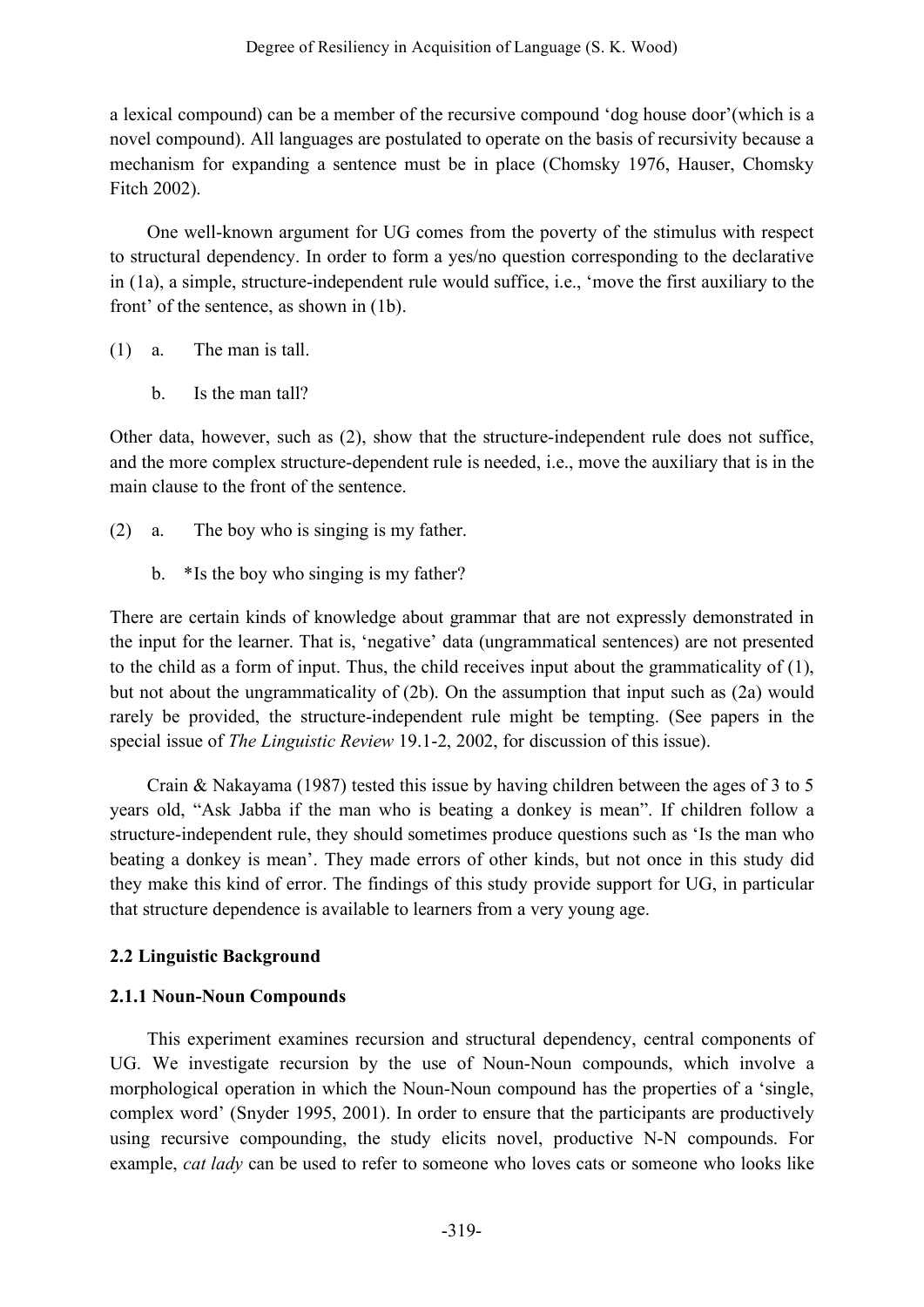a lexical compound) can be a member of the recursive compound 'dog house door'(which is a novel compound). All languages are postulated to operate on the basis of recursivity because a mechanism for expanding a sentence must be in place (Chomsky 1976, Hauser, Chomsky Fitch 2002).

One well-known argument for UG comes from the poverty of the stimulus with respect to structural dependency. In order to form a yes/no question corresponding to the declarative in (1a), a simple, structure-independent rule would suffice, i.e., 'move the first auxiliary to the front' of the sentence, as shown in (1b).

- (1) a. The man is tall.
	- b. Is the man tall?

Other data, however, such as (2), show that the structure-independent rule does not suffice, and the more complex structure-dependent rule is needed, i.e., move the auxiliary that is in the main clause to the front of the sentence.

- (2) a. The boy who is singing is my father.
	- b. \*Is the boy who singing is my father?

There are certain kinds of knowledge about grammar that are not expressly demonstrated in the input for the learner. That is, 'negative' data (ungrammatical sentences) are not presented to the child as a form of input. Thus, the child receives input about the grammaticality of (1), but not about the ungrammaticality of (2b). On the assumption that input such as (2a) would rarely be provided, the structure-independent rule might be tempting. (See papers in the special issue of *The Linguistic Review* 19.1-2, 2002, for discussion of this issue).

Crain & Nakayama (1987) tested this issue by having children between the ages of 3 to 5 years old, "Ask Jabba if the man who is beating a donkey is mean". If children follow a structure-independent rule, they should sometimes produce questions such as 'Is the man who beating a donkey is mean'. They made errors of other kinds, but not once in this study did they make this kind of error. The findings of this study provide support for UG, in particular that structure dependence is available to learners from a very young age.

## **2.2 Linguistic Background**

# **2.1.1 Noun-Noun Compounds**

This experiment examines recursion and structural dependency, central components of UG. We investigate recursion by the use of Noun-Noun compounds, which involve a morphological operation in which the Noun-Noun compound has the properties of a 'single, complex word' (Snyder 1995, 2001). In order to ensure that the participants are productively using recursive compounding, the study elicits novel, productive N-N compounds. For example, *cat lady* can be used to refer to someone who loves cats or someone who looks like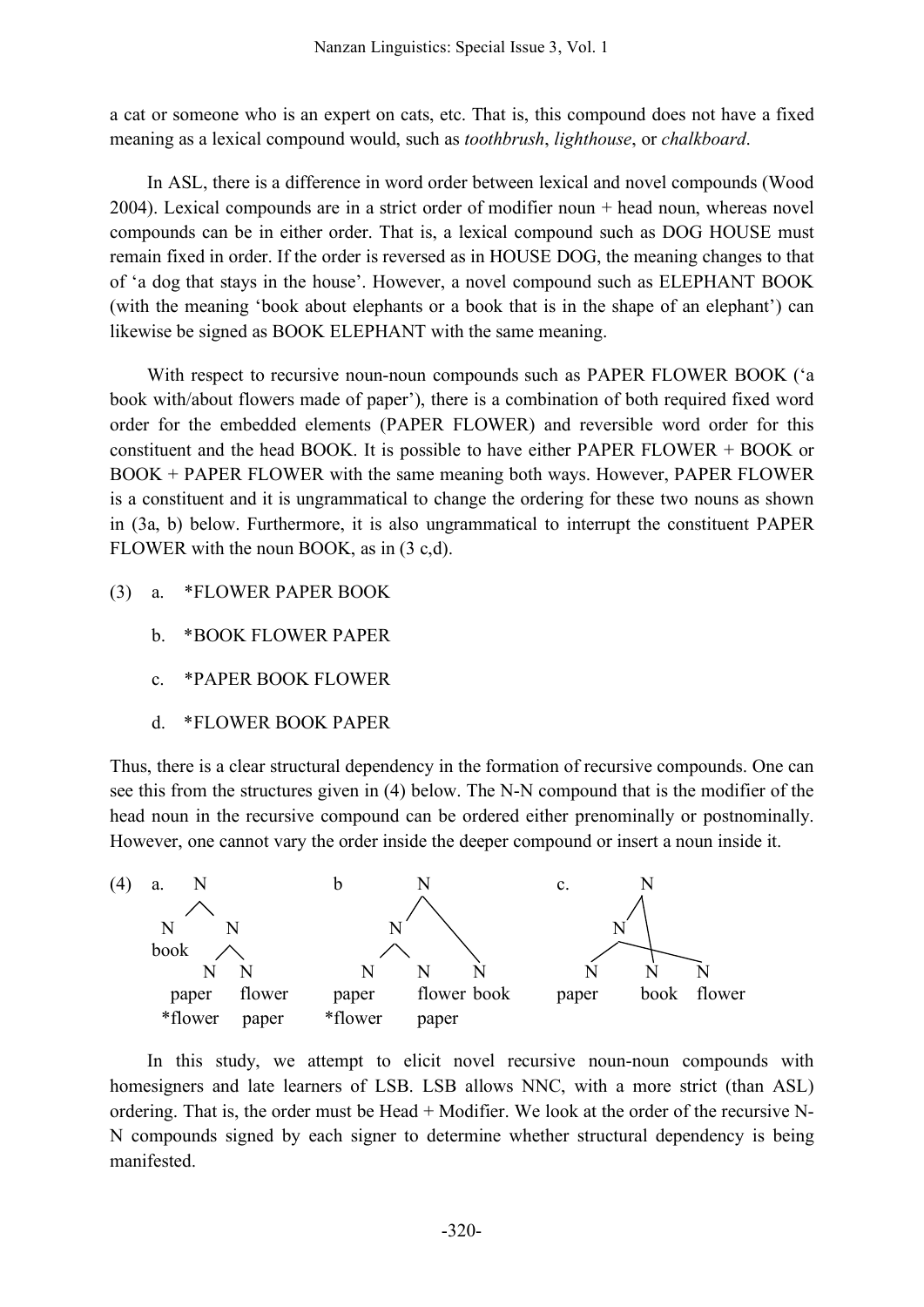a cat or someone who is an expert on cats, etc. That is, this compound does not have a fixed meaning as a lexical compound would, such as *toothbrush*, *lighthouse*, or *chalkboard*.

In ASL, there is a difference in word order between lexical and novel compounds (Wood 2004). Lexical compounds are in a strict order of modifier noun + head noun, whereas novel compounds can be in either order. That is, a lexical compound such as DOG HOUSE must remain fixed in order. If the order is reversed as in HOUSE DOG, the meaning changes to that of 'a dog that stays in the house'. However, a novel compound such as ELEPHANT BOOK (with the meaning 'book about elephants or a book that is in the shape of an elephant') can likewise be signed as BOOK ELEPHANT with the same meaning.

With respect to recursive noun-noun compounds such as PAPER FLOWER BOOK ('a book with/about flowers made of paper'), there is a combination of both required fixed word order for the embedded elements (PAPER FLOWER) and reversible word order for this constituent and the head BOOK. It is possible to have either PAPER FLOWER + BOOK or BOOK + PAPER FLOWER with the same meaning both ways. However, PAPER FLOWER is a constituent and it is ungrammatical to change the ordering for these two nouns as shown in (3a, b) below. Furthermore, it is also ungrammatical to interrupt the constituent PAPER FLOWER with the noun BOOK, as in (3 c,d).

- (3) a. \*FLOWER PAPER BOOK
	- b. \*BOOK FLOWER PAPER
	- c. \*PAPER BOOK FLOWER
	- d. \*FLOWER BOOK PAPER

Thus, there is a clear structural dependency in the formation of recursive compounds. One can see this from the structures given in (4) below. The N-N compound that is the modifier of the head noun in the recursive compound can be ordered either prenominally or postnominally. However, one cannot vary the order inside the deeper compound or insert a noun inside it.



In this study, we attempt to elicit novel recursive noun-noun compounds with homesigners and late learners of LSB. LSB allows NNC, with a more strict (than ASL) ordering. That is, the order must be Head + Modifier. We look at the order of the recursive N-N compounds signed by each signer to determine whether structural dependency is being manifested.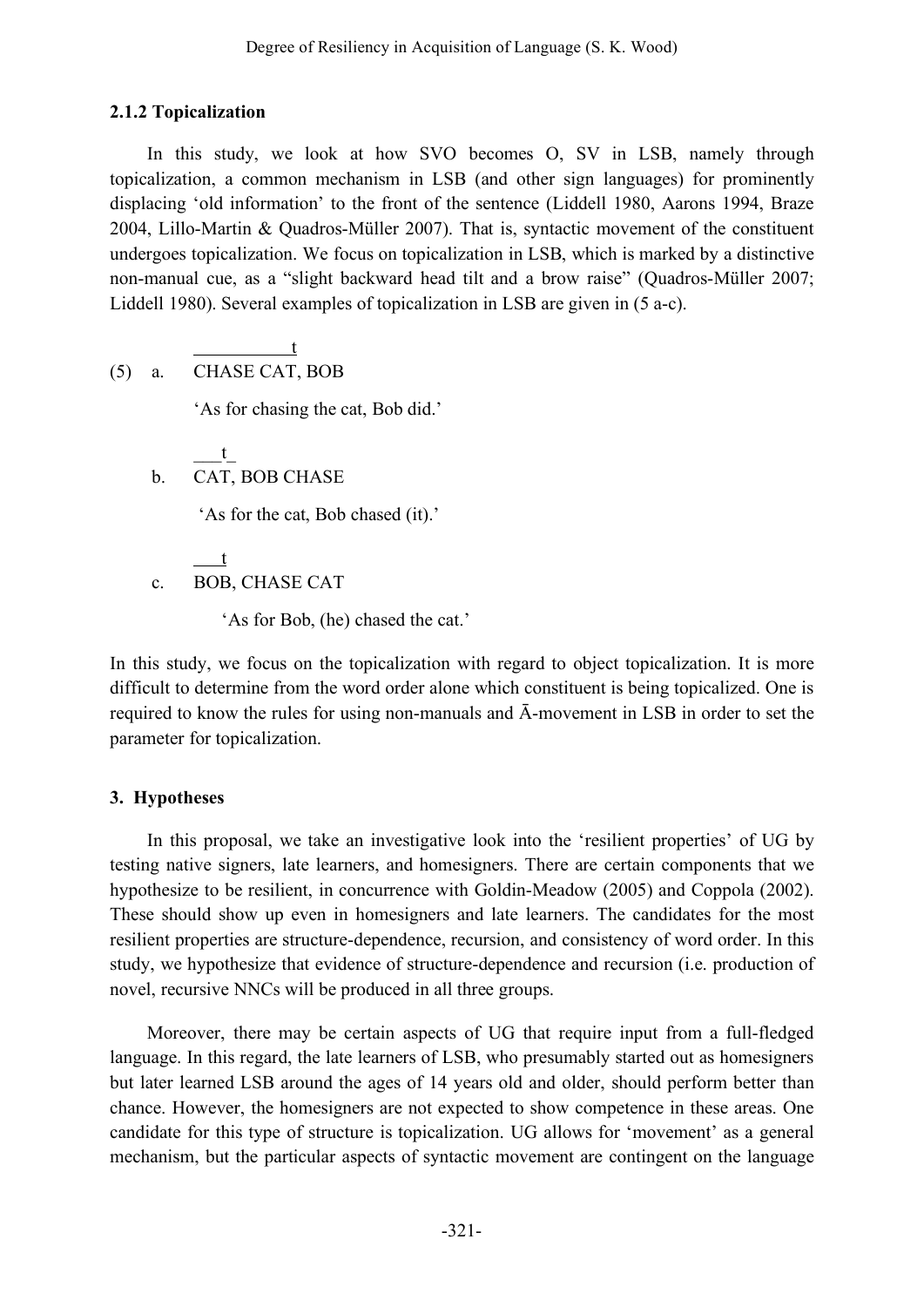# **2.1.2 Topicalization**

In this study, we look at how SVO becomes O, SV in LSB, namely through topicalization, a common mechanism in LSB (and other sign languages) for prominently displacing 'old information' to the front of the sentence (Liddell 1980, Aarons 1994, Braze 2004, Lillo-Martin & Quadros-Müller 2007). That is, syntactic movement of the constituent undergoes topicalization. We focus on topicalization in LSB, which is marked by a distinctive non-manual cue, as a "slight backward head tilt and a brow raise" (Quadros-Müller 2007; Liddell 1980). Several examples of topicalization in LSB are given in (5 a-c).

$$
(5) \quad a. \quad \frac{t}{\text{CHASE CAT, BOB}}
$$

'As for chasing the cat, Bob did.'

 $\_\_t$ b. CAT, BOB CHASE

'As for the cat, Bob chased (it).'

t c. BOB, CHASE CAT

'As for Bob, (he) chased the cat.'

In this study, we focus on the topicalization with regard to object topicalization. It is more difficult to determine from the word order alone which constituent is being topicalized. One is required to know the rules for using non-manuals and Ā-movement in LSB in order to set the parameter for topicalization.

# **3. Hypotheses**

In this proposal, we take an investigative look into the 'resilient properties' of UG by testing native signers, late learners, and homesigners. There are certain components that we hypothesize to be resilient, in concurrence with Goldin-Meadow (2005) and Coppola (2002). These should show up even in homesigners and late learners. The candidates for the most resilient properties are structure-dependence, recursion, and consistency of word order. In this study, we hypothesize that evidence of structure-dependence and recursion (i.e. production of novel, recursive NNCs will be produced in all three groups.

Moreover, there may be certain aspects of UG that require input from a full-fledged language. In this regard, the late learners of LSB, who presumably started out as homesigners but later learned LSB around the ages of 14 years old and older, should perform better than chance. However, the homesigners are not expected to show competence in these areas. One candidate for this type of structure is topicalization. UG allows for 'movement' as a general mechanism, but the particular aspects of syntactic movement are contingent on the language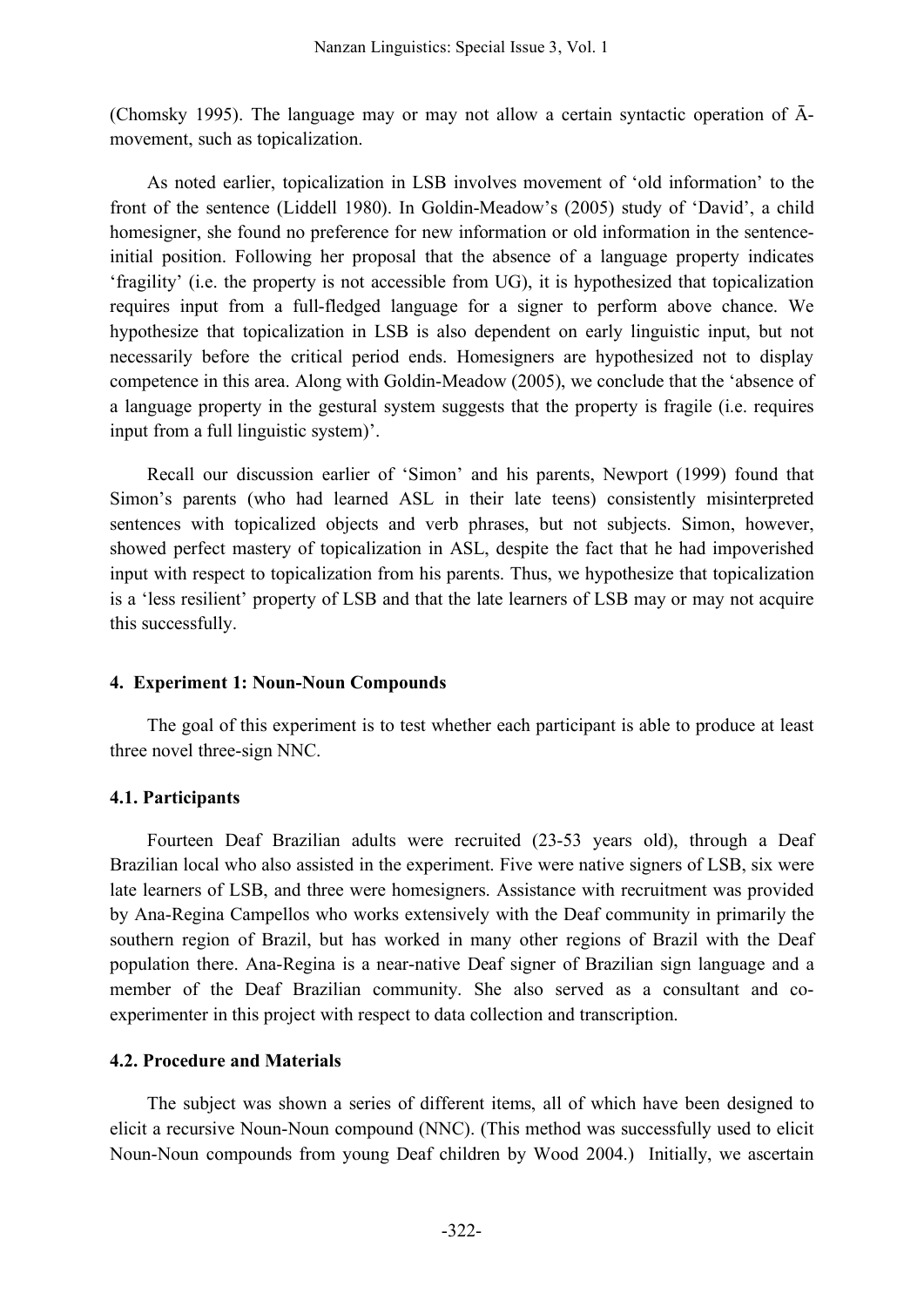(Chomsky 1995). The language may or may not allow a certain syntactic operation of  $\bar{A}$ movement, such as topicalization.

As noted earlier, topicalization in LSB involves movement of 'old information' to the front of the sentence (Liddell 1980). In Goldin-Meadow's (2005) study of 'David', a child homesigner, she found no preference for new information or old information in the sentenceinitial position. Following her proposal that the absence of a language property indicates 'fragility' (i.e. the property is not accessible from UG), it is hypothesized that topicalization requires input from a full-fledged language for a signer to perform above chance. We hypothesize that topicalization in LSB is also dependent on early linguistic input, but not necessarily before the critical period ends. Homesigners are hypothesized not to display competence in this area. Along with Goldin-Meadow (2005), we conclude that the 'absence of a language property in the gestural system suggests that the property is fragile (i.e. requires input from a full linguistic system)'.

Recall our discussion earlier of 'Simon' and his parents, Newport (1999) found that Simon's parents (who had learned ASL in their late teens) consistently misinterpreted sentences with topicalized objects and verb phrases, but not subjects. Simon, however, showed perfect mastery of topicalization in ASL, despite the fact that he had impoverished input with respect to topicalization from his parents. Thus, we hypothesize that topicalization is a 'less resilient' property of LSB and that the late learners of LSB may or may not acquire this successfully.

### **4. Experiment 1: Noun-Noun Compounds**

The goal of this experiment is to test whether each participant is able to produce at least three novel three-sign NNC.

### **4.1. Participants**

Fourteen Deaf Brazilian adults were recruited (23-53 years old), through a Deaf Brazilian local who also assisted in the experiment. Five were native signers of LSB, six were late learners of LSB, and three were homesigners. Assistance with recruitment was provided by Ana-Regina Campellos who works extensively with the Deaf community in primarily the southern region of Brazil, but has worked in many other regions of Brazil with the Deaf population there. Ana-Regina is a near-native Deaf signer of Brazilian sign language and a member of the Deaf Brazilian community. She also served as a consultant and coexperimenter in this project with respect to data collection and transcription.

## **4.2. Procedure and Materials**

The subject was shown a series of different items, all of which have been designed to elicit a recursive Noun-Noun compound (NNC). (This method was successfully used to elicit Noun-Noun compounds from young Deaf children by Wood 2004.) Initially, we ascertain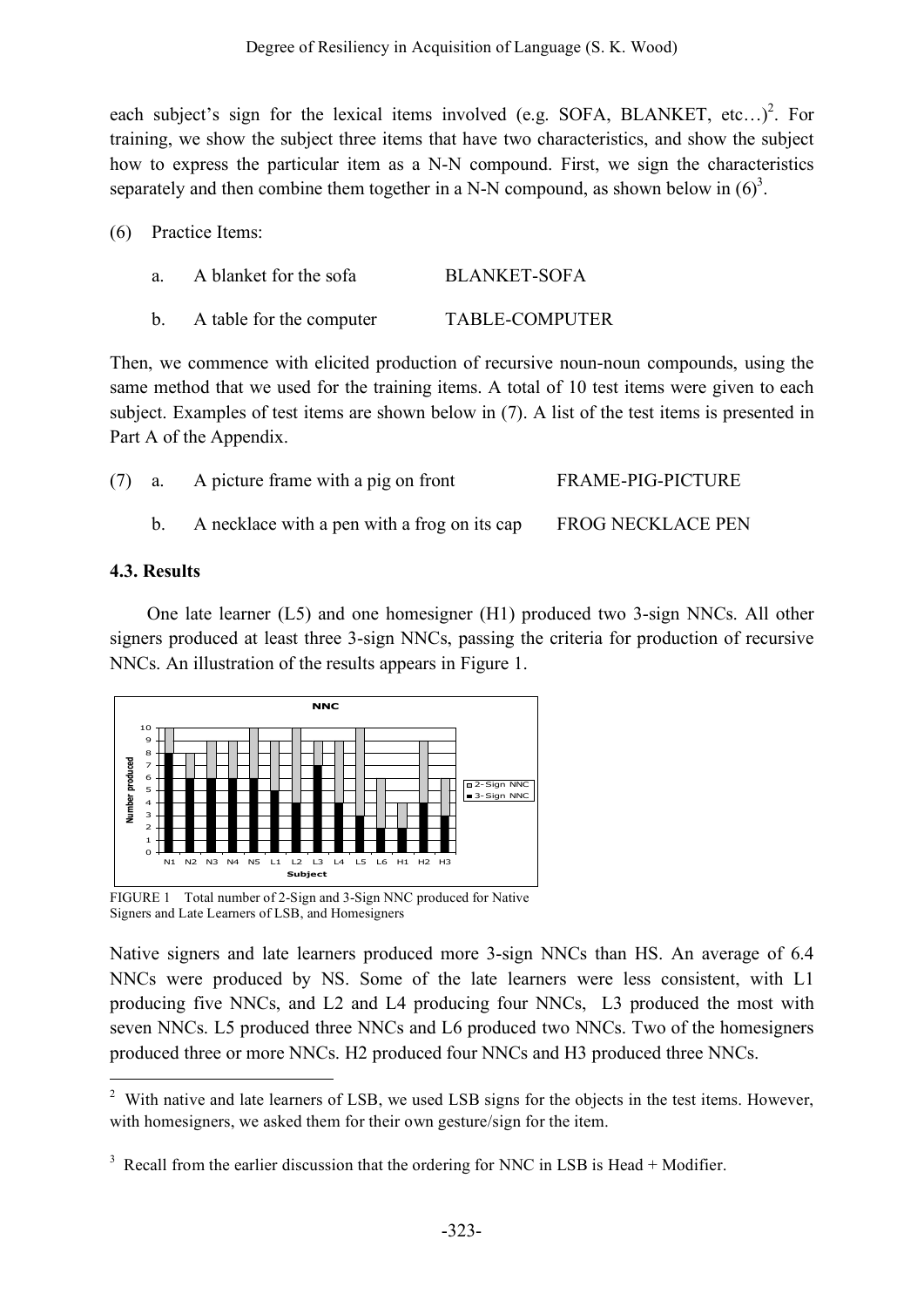each subject's sign for the lexical items involved (e.g. SOFA, BLANKET, etc...)<sup>2</sup>. For training, we show the subject three items that have two characteristics, and show the subject how to express the particular item as a N-N compound. First, we sign the characteristics separately and then combine them together in a N-N compound, as shown below in  $(6)^3$ .

(6) Practice Items:

| a.             | A blanket for the sofa   | <b>BLANKET-SOFA</b>   |
|----------------|--------------------------|-----------------------|
| $\mathbf{b}$ . | A table for the computer | <b>TABLE-COMPUTER</b> |

Then, we commence with elicited production of recursive noun-noun compounds, using the same method that we used for the training items. A total of 10 test items were given to each subject. Examples of test items are shown below in (7). A list of the test items is presented in Part A of the Appendix.

|  | (7) a. A picture frame with a pig on front   | <b>FRAME-PIG-PICTURE</b> |
|--|----------------------------------------------|--------------------------|
|  | A necklace with a pen with a frog on its cap | <b>FROG NECKLACE PEN</b> |

## **4.3. Results**

One late learner (L5) and one homesigner (H1) produced two 3-sign NNCs. All other signers produced at least three 3-sign NNCs, passing the criteria for production of recursive NNCs. An illustration of the results appears in Figure 1.



FIGURE 1 Total number of 2-Sign and 3-Sign NNC produced for Native Signers and Late Learners of LSB, and Homesigners

Native signers and late learners produced more 3-sign NNCs than HS. An average of 6.4 NNCs were produced by NS. Some of the late learners were less consistent, with L1 producing five NNCs, and L2 and L4 producing four NNCs, L3 produced the most with seven NNCs. L5 produced three NNCs and L6 produced two NNCs. Two of the homesigners produced three or more NNCs. H2 produced four NNCs and H3 produced three NNCs.

<sup>&</sup>lt;sup>2</sup> With native and late learners of LSB, we used LSB signs for the objects in the test items. However, with homesigners, we asked them for their own gesture/sign for the item.

 $3 \text{ Recall from the earlier discussion that the ordering for NNC in LSB is Head + Modify.}$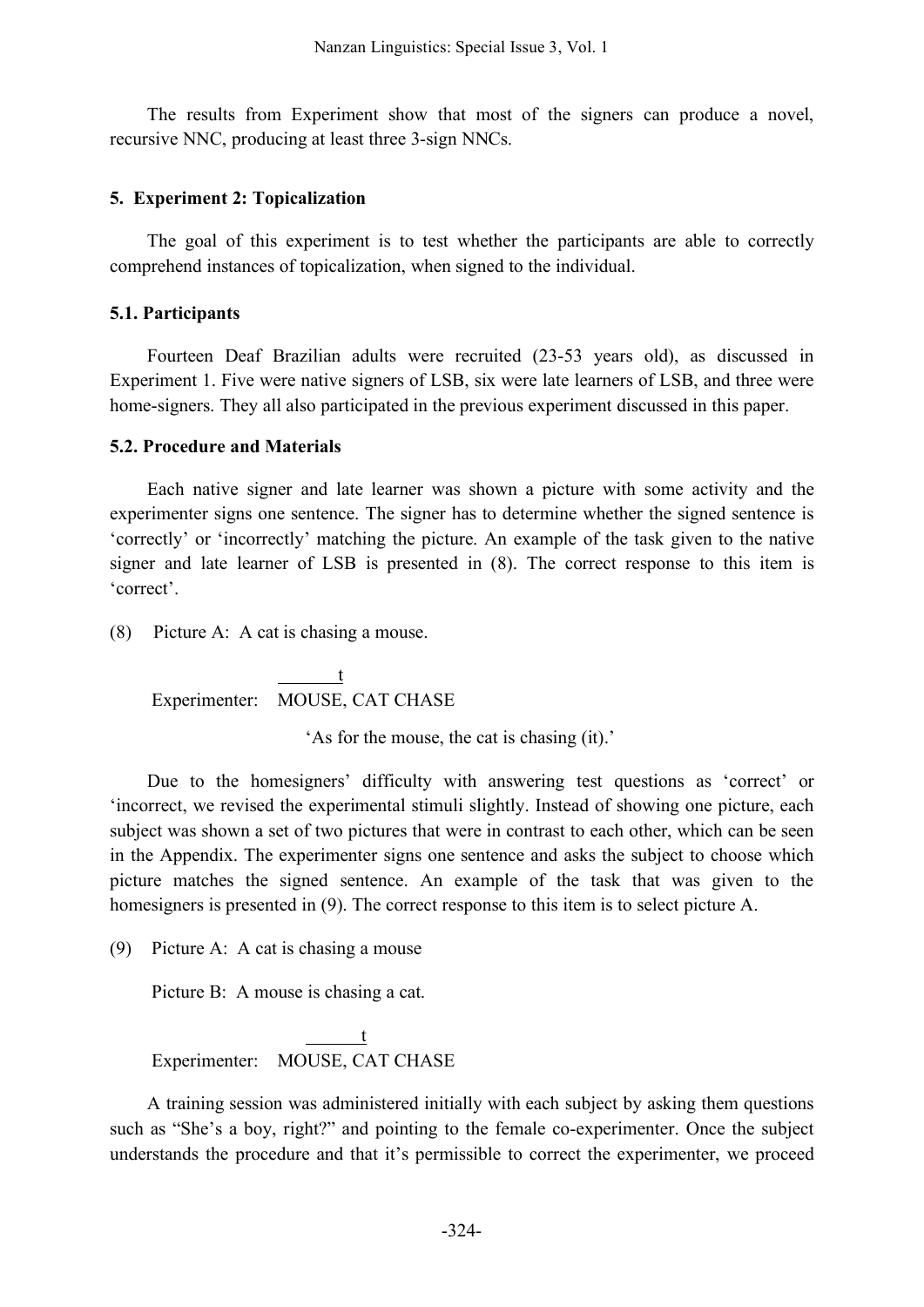The results from Experiment show that most of the signers can produce a novel, recursive NNC, producing at least three 3-sign NNCs.

#### **5. Experiment 2: Topicalization**

The goal of this experiment is to test whether the participants are able to correctly comprehend instances of topicalization, when signed to the individual.

#### **5.1. Participants**

Fourteen Deaf Brazilian adults were recruited (23-53 years old), as discussed in Experiment 1. Five were native signers of LSB, six were late learners of LSB, and three were home-signers. They all also participated in the previous experiment discussed in this paper.

#### **5.2. Procedure and Materials**

Each native signer and late learner was shown a picture with some activity and the experimenter signs one sentence. The signer has to determine whether the signed sentence is 'correctly' or 'incorrectly' matching the picture. An example of the task given to the native signer and late learner of LSB is presented in (8). The correct response to this item is 'correct'.

(8) Picture A: A cat is chasing a mouse.

t Experimenter: MOUSE, CAT CHASE

'As for the mouse, the cat is chasing (it).'

Due to the homesigners' difficulty with answering test questions as 'correct' or 'incorrect, we revised the experimental stimuli slightly. Instead of showing one picture, each subject was shown a set of two pictures that were in contrast to each other, which can be seen in the Appendix. The experimenter signs one sentence and asks the subject to choose which picture matches the signed sentence. An example of the task that was given to the homesigners is presented in (9). The correct response to this item is to select picture A.

(9) Picture A: A cat is chasing a mouse

Picture B: A mouse is chasing a cat.

t Experimenter: MOUSE, CAT CHASE

A training session was administered initially with each subject by asking them questions such as "She's a boy, right?" and pointing to the female co-experimenter. Once the subject understands the procedure and that it's permissible to correct the experimenter, we proceed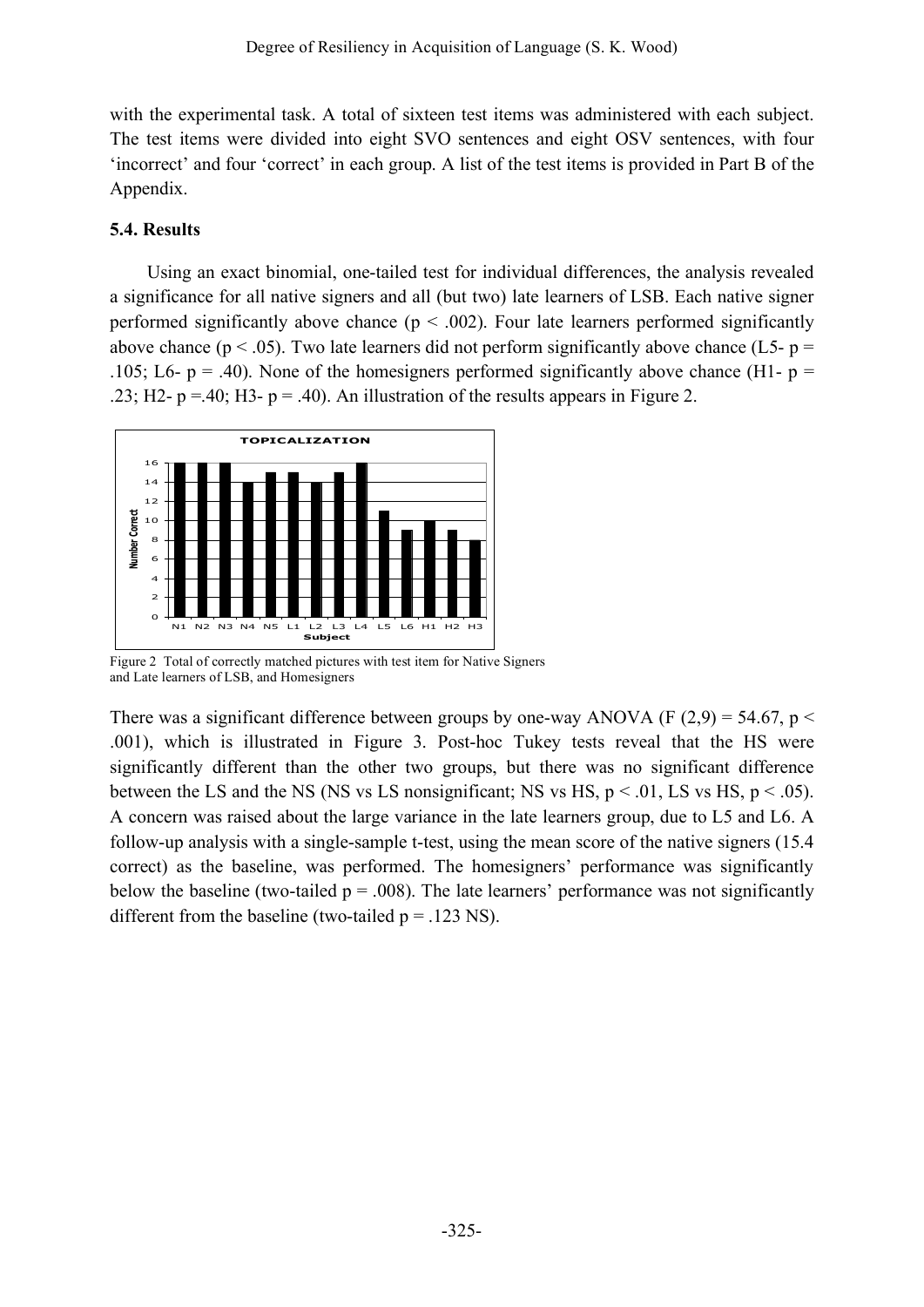with the experimental task. A total of sixteen test items was administered with each subject. The test items were divided into eight SVO sentences and eight OSV sentences, with four 'incorrect' and four 'correct' in each group. A list of the test items is provided in Part B of the Appendix.

### **5.4. Results**

Using an exact binomial, one-tailed test for individual differences, the analysis revealed a significance for all native signers and all (but two) late learners of LSB. Each native signer performed significantly above chance  $(p < .002)$ . Four late learners performed significantly above chance ( $p < .05$ ). Two late learners did not perform significantly above chance (L5-  $p =$ .105; L6-  $p = .40$ ). None of the homesigners performed significantly above chance (H1-  $p =$ .23; H2-  $p = 40$ ; H3-  $p = 0.40$ . An illustration of the results appears in Figure 2.



Figure 2 Total of correctly matched pictures with test item for Native Signers and Late learners of LSB, and Homesigners

There was a significant difference between groups by one-way ANOVA (F  $(2,9) = 54.67$ , p < .001), which is illustrated in Figure 3. Post-hoc Tukey tests reveal that the HS were significantly different than the other two groups, but there was no significant difference between the LS and the NS (NS vs LS nonsignificant; NS vs HS,  $p < .01$ , LS vs HS,  $p < .05$ ). A concern was raised about the large variance in the late learners group, due to L5 and L6. A follow-up analysis with a single-sample t-test, using the mean score of the native signers (15.4 correct) as the baseline, was performed. The homesigners' performance was significantly below the baseline (two-tailed  $p = .008$ ). The late learners' performance was not significantly different from the baseline (two-tailed  $p = .123$  NS).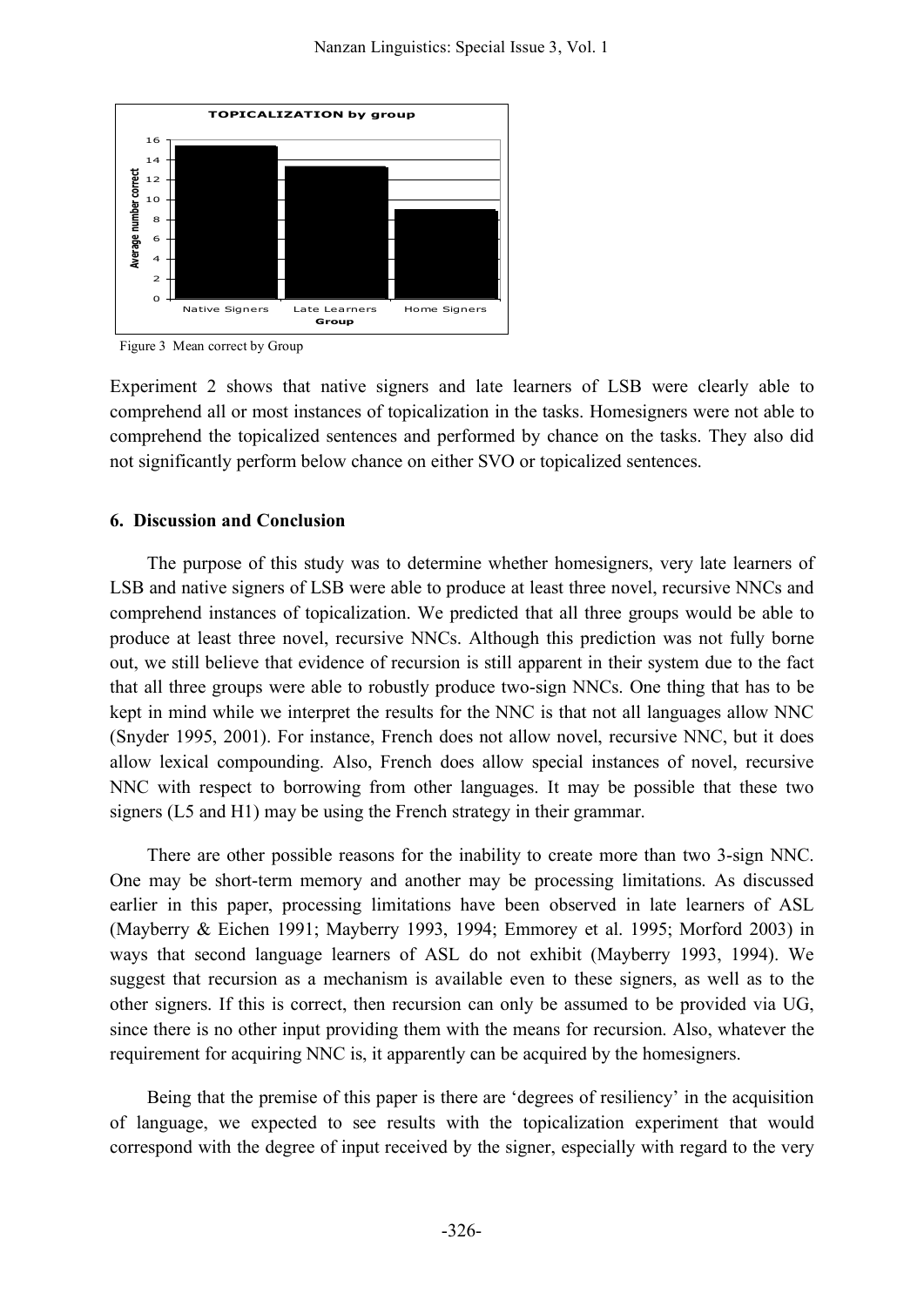

Figure 3 Mean correct by Group

Experiment 2 shows that native signers and late learners of LSB were clearly able to comprehend all or most instances of topicalization in the tasks. Homesigners were not able to comprehend the topicalized sentences and performed by chance on the tasks. They also did not significantly perform below chance on either SVO or topicalized sentences.

#### **6. Discussion and Conclusion**

The purpose of this study was to determine whether homesigners, very late learners of LSB and native signers of LSB were able to produce at least three novel, recursive NNCs and comprehend instances of topicalization. We predicted that all three groups would be able to produce at least three novel, recursive NNCs. Although this prediction was not fully borne out, we still believe that evidence of recursion is still apparent in their system due to the fact that all three groups were able to robustly produce two-sign NNCs. One thing that has to be kept in mind while we interpret the results for the NNC is that not all languages allow NNC (Snyder 1995, 2001). For instance, French does not allow novel, recursive NNC, but it does allow lexical compounding. Also, French does allow special instances of novel, recursive NNC with respect to borrowing from other languages. It may be possible that these two signers (L5 and H1) may be using the French strategy in their grammar.

There are other possible reasons for the inability to create more than two 3-sign NNC. One may be short-term memory and another may be processing limitations. As discussed earlier in this paper, processing limitations have been observed in late learners of ASL (Mayberry & Eichen 1991; Mayberry 1993, 1994; Emmorey et al. 1995; Morford 2003) in ways that second language learners of ASL do not exhibit (Mayberry 1993, 1994). We suggest that recursion as a mechanism is available even to these signers, as well as to the other signers. If this is correct, then recursion can only be assumed to be provided via UG, since there is no other input providing them with the means for recursion. Also, whatever the requirement for acquiring NNC is, it apparently can be acquired by the homesigners.

Being that the premise of this paper is there are 'degrees of resiliency' in the acquisition of language, we expected to see results with the topicalization experiment that would correspond with the degree of input received by the signer, especially with regard to the very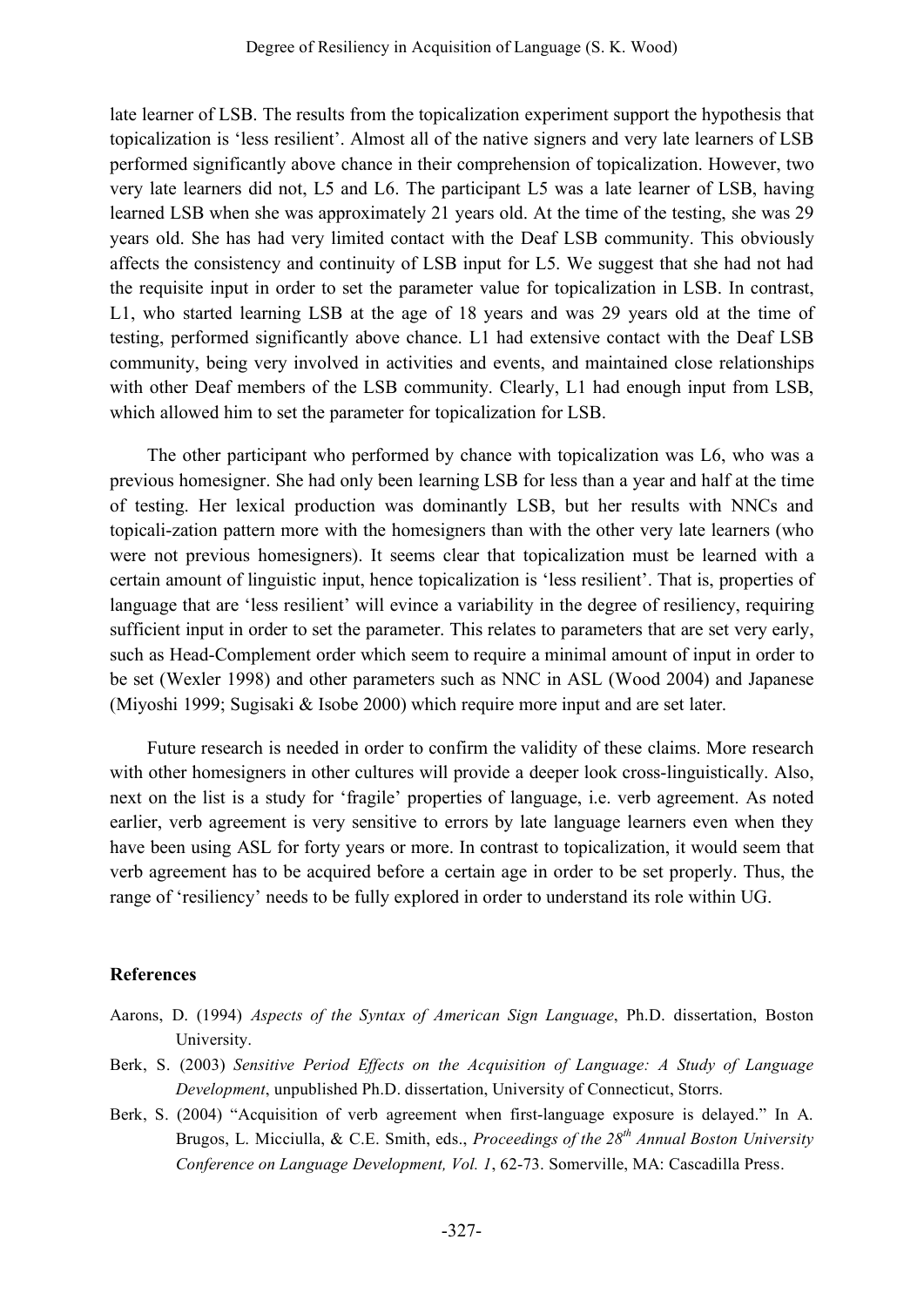late learner of LSB. The results from the topicalization experiment support the hypothesis that topicalization is 'less resilient'. Almost all of the native signers and very late learners of LSB performed significantly above chance in their comprehension of topicalization. However, two very late learners did not, L5 and L6. The participant L5 was a late learner of LSB, having learned LSB when she was approximately 21 years old. At the time of the testing, she was 29 years old. She has had very limited contact with the Deaf LSB community. This obviously affects the consistency and continuity of LSB input for L5. We suggest that she had not had the requisite input in order to set the parameter value for topicalization in LSB. In contrast, L1, who started learning LSB at the age of 18 years and was 29 years old at the time of testing, performed significantly above chance. L1 had extensive contact with the Deaf LSB community, being very involved in activities and events, and maintained close relationships with other Deaf members of the LSB community. Clearly, L1 had enough input from LSB, which allowed him to set the parameter for topicalization for LSB.

The other participant who performed by chance with topicalization was L6, who was a previous homesigner. She had only been learning LSB for less than a year and half at the time of testing. Her lexical production was dominantly LSB, but her results with NNCs and topicali-zation pattern more with the homesigners than with the other very late learners (who were not previous homesigners). It seems clear that topicalization must be learned with a certain amount of linguistic input, hence topicalization is 'less resilient'. That is, properties of language that are 'less resilient' will evince a variability in the degree of resiliency, requiring sufficient input in order to set the parameter. This relates to parameters that are set very early, such as Head-Complement order which seem to require a minimal amount of input in order to be set (Wexler 1998) and other parameters such as NNC in ASL (Wood 2004) and Japanese (Miyoshi 1999; Sugisaki & Isobe 2000) which require more input and are set later.

Future research is needed in order to confirm the validity of these claims. More research with other homesigners in other cultures will provide a deeper look cross-linguistically. Also, next on the list is a study for 'fragile' properties of language, i.e. verb agreement. As noted earlier, verb agreement is very sensitive to errors by late language learners even when they have been using ASL for forty years or more. In contrast to topicalization, it would seem that verb agreement has to be acquired before a certain age in order to be set properly. Thus, the range of 'resiliency' needs to be fully explored in order to understand its role within UG.

### **References**

- Aarons, D. (1994) *Aspects of the Syntax of American Sign Language*, Ph.D. dissertation, Boston University.
- Berk, S. (2003) *Sensitive Period Effects on the Acquisition of Language: A Study of Language Development*, unpublished Ph.D. dissertation, University of Connecticut, Storrs.
- Berk, S. (2004) "Acquisition of verb agreement when first-language exposure is delayed." In A. Brugos, L. Micciulla, & C.E. Smith, eds., *Proceedings of the 28th Annual Boston University Conference on Language Development, Vol. 1*, 62-73. Somerville, MA: Cascadilla Press.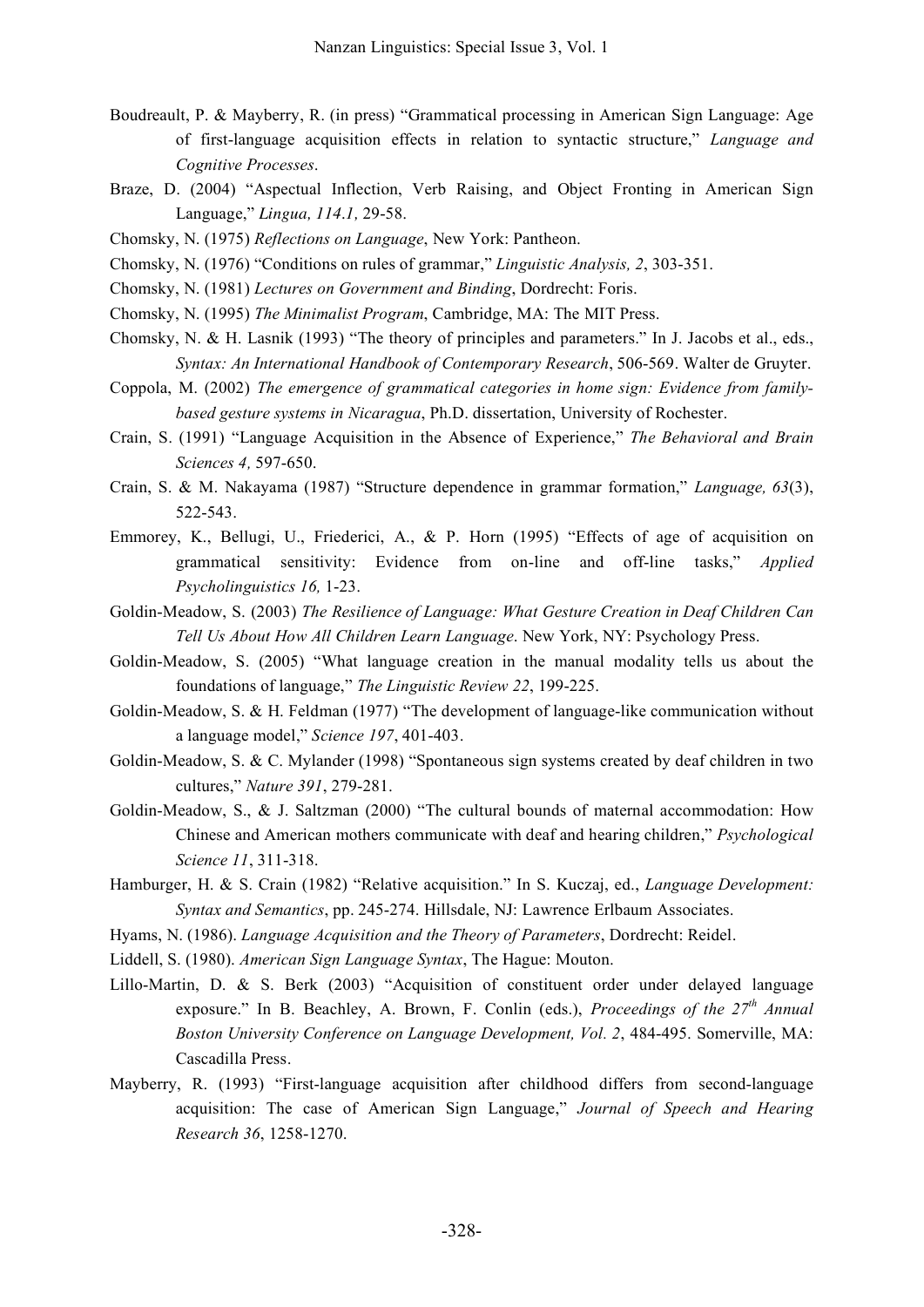- Boudreault, P. & Mayberry, R. (in press) "Grammatical processing in American Sign Language: Age of first-language acquisition effects in relation to syntactic structure," *Language and Cognitive Processes*.
- Braze, D. (2004) "Aspectual Inflection, Verb Raising, and Object Fronting in American Sign Language," *Lingua, 114.1,* 29-58.
- Chomsky, N. (1975) *Reflections on Language*, New York: Pantheon.
- Chomsky, N. (1976) "Conditions on rules of grammar," *Linguistic Analysis, 2*, 303-351.
- Chomsky, N. (1981) *Lectures on Government and Binding*, Dordrecht: Foris.
- Chomsky, N. (1995) *The Minimalist Program*, Cambridge, MA: The MIT Press.
- Chomsky, N. & H. Lasnik (1993) "The theory of principles and parameters." In J. Jacobs et al., eds., *Syntax: An International Handbook of Contemporary Research*, 506-569. Walter de Gruyter.
- Coppola, M. (2002) *The emergence of grammatical categories in home sign: Evidence from familybased gesture systems in Nicaragua*, Ph.D. dissertation, University of Rochester.
- Crain, S. (1991) "Language Acquisition in the Absence of Experience," *The Behavioral and Brain Sciences 4,* 597-650.
- Crain, S. & M. Nakayama (1987) "Structure dependence in grammar formation," *Language, 63*(3), 522-543.
- Emmorey, K., Bellugi, U., Friederici, A., & P. Horn (1995) "Effects of age of acquisition on grammatical sensitivity: Evidence from on-line and off-line tasks," *Applied Psycholinguistics 16,* 1-23.
- Goldin-Meadow, S. (2003) *The Resilience of Language: What Gesture Creation in Deaf Children Can Tell Us About How All Children Learn Language*. New York, NY: Psychology Press.
- Goldin-Meadow, S. (2005) "What language creation in the manual modality tells us about the foundations of language," *The Linguistic Review 22*, 199-225.
- Goldin-Meadow, S. & H. Feldman (1977) "The development of language-like communication without a language model," *Science 197*, 401-403.
- Goldin-Meadow, S. & C. Mylander (1998) "Spontaneous sign systems created by deaf children in two cultures," *Nature 391*, 279-281.
- Goldin-Meadow, S., & J. Saltzman (2000) "The cultural bounds of maternal accommodation: How Chinese and American mothers communicate with deaf and hearing children," *Psychological Science 11*, 311-318.
- Hamburger, H. & S. Crain (1982) "Relative acquisition." In S. Kuczaj, ed., *Language Development: Syntax and Semantics*, pp. 245-274. Hillsdale, NJ: Lawrence Erlbaum Associates.
- Hyams, N. (1986). *Language Acquisition and the Theory of Parameters*, Dordrecht: Reidel.
- Liddell, S. (1980). *American Sign Language Syntax*, The Hague: Mouton.
- Lillo-Martin, D. & S. Berk (2003) "Acquisition of constituent order under delayed language exposure." In B. Beachley, A. Brown, F. Conlin (eds.), *Proceedings of the 27th Annual Boston University Conference on Language Development, Vol. 2*, 484-495. Somerville, MA: Cascadilla Press.
- Mayberry, R. (1993) "First-language acquisition after childhood differs from second-language acquisition: The case of American Sign Language," *Journal of Speech and Hearing Research 36*, 1258-1270.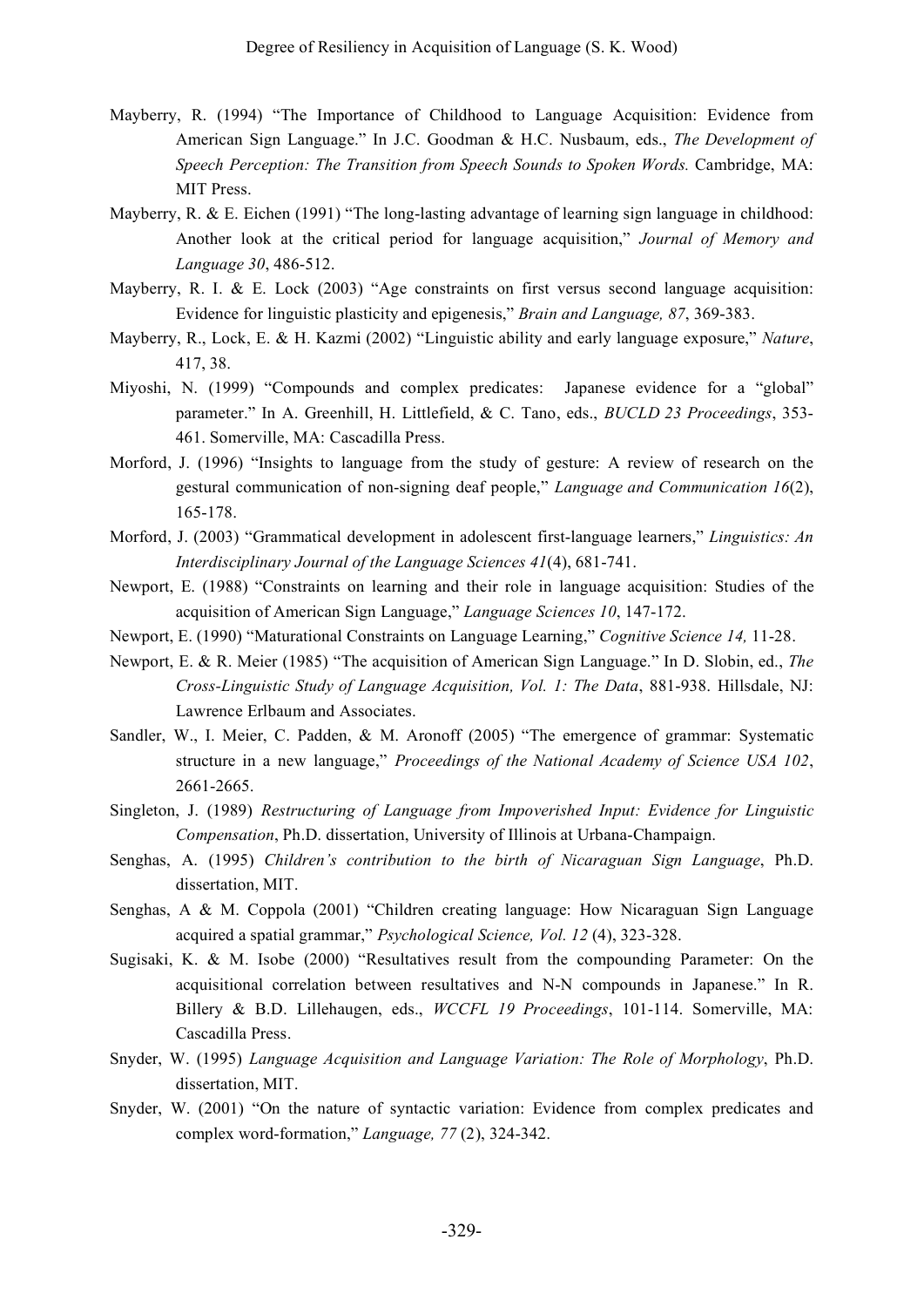- Mayberry, R. (1994) "The Importance of Childhood to Language Acquisition: Evidence from American Sign Language." In J.C. Goodman & H.C. Nusbaum, eds., *The Development of Speech Perception: The Transition from Speech Sounds to Spoken Words.* Cambridge, MA: MIT Press.
- Mayberry, R. & E. Eichen (1991) "The long-lasting advantage of learning sign language in childhood: Another look at the critical period for language acquisition," *Journal of Memory and Language 30*, 486-512.
- Mayberry, R. I. & E. Lock (2003) "Age constraints on first versus second language acquisition: Evidence for linguistic plasticity and epigenesis," *Brain and Language, 87*, 369-383.
- Mayberry, R., Lock, E. & H. Kazmi (2002) "Linguistic ability and early language exposure," *Nature*, 417, 38.
- Miyoshi, N. (1999) "Compounds and complex predicates: Japanese evidence for a "global" parameter." In A. Greenhill, H. Littlefield, & C. Tano, eds., *BUCLD 23 Proceedings*, 353- 461. Somerville, MA: Cascadilla Press.
- Morford, J. (1996) "Insights to language from the study of gesture: A review of research on the gestural communication of non-signing deaf people," *Language and Communication 16*(2), 165-178.
- Morford, J. (2003) "Grammatical development in adolescent first-language learners," *Linguistics: An Interdisciplinary Journal of the Language Sciences 41*(4), 681-741.
- Newport, E. (1988) "Constraints on learning and their role in language acquisition: Studies of the acquisition of American Sign Language," *Language Sciences 10*, 147-172.
- Newport, E. (1990) "Maturational Constraints on Language Learning," *Cognitive Science 14,* 11-28.
- Newport, E. & R. Meier (1985) "The acquisition of American Sign Language." In D. Slobin, ed., *The Cross-Linguistic Study of Language Acquisition, Vol. 1: The Data*, 881-938. Hillsdale, NJ: Lawrence Erlbaum and Associates.
- Sandler, W., I. Meier, C. Padden, & M. Aronoff (2005) "The emergence of grammar: Systematic structure in a new language," *Proceedings of the National Academy of Science USA 102*, 2661-2665.
- Singleton, J. (1989) *Restructuring of Language from Impoverished Input: Evidence for Linguistic Compensation*, Ph.D. dissertation, University of Illinois at Urbana-Champaign.
- Senghas, A. (1995) *Children's contribution to the birth of Nicaraguan Sign Language*, Ph.D. dissertation, MIT.
- Senghas, A & M. Coppola (2001) "Children creating language: How Nicaraguan Sign Language acquired a spatial grammar," *Psychological Science, Vol. 12* (4), 323-328.
- Sugisaki, K. & M. Isobe (2000) "Resultatives result from the compounding Parameter: On the acquisitional correlation between resultatives and N-N compounds in Japanese." In R. Billery & B.D. Lillehaugen, eds., *WCCFL 19 Proceedings*, 101-114. Somerville, MA: Cascadilla Press.
- Snyder, W. (1995) *Language Acquisition and Language Variation: The Role of Morphology*, Ph.D. dissertation, MIT.
- Snyder, W. (2001) "On the nature of syntactic variation: Evidence from complex predicates and complex word-formation," *Language, 77* (2), 324-342.